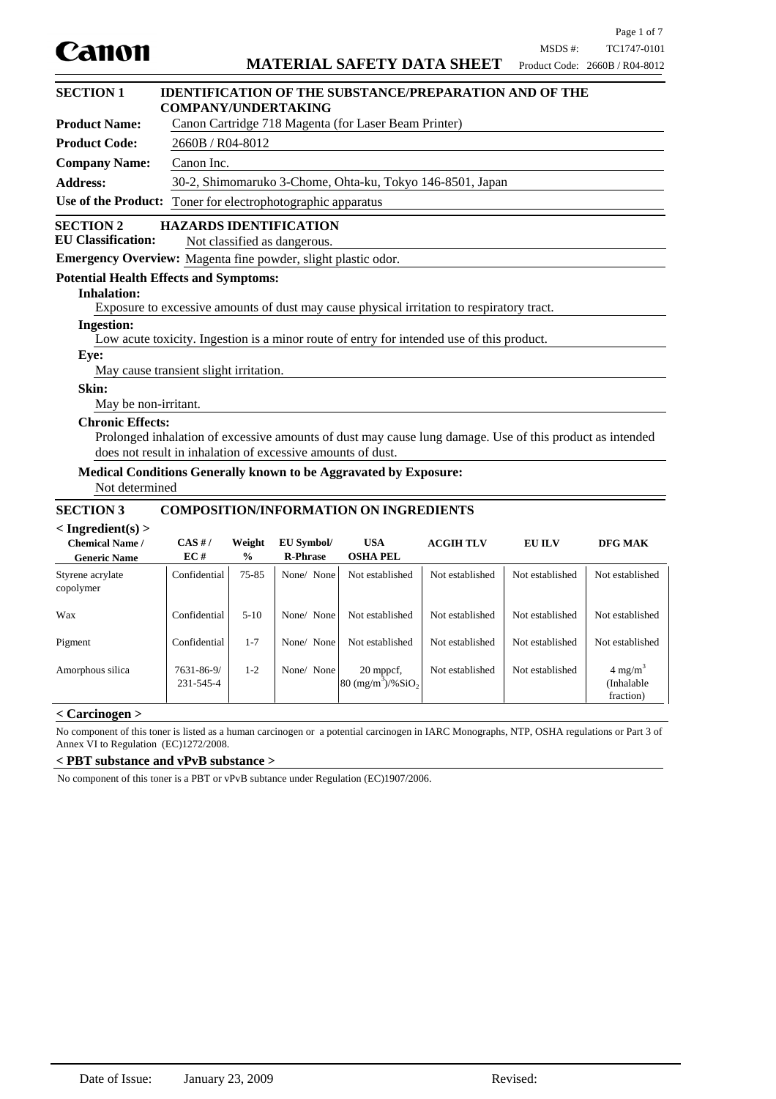

Product Code: 2660B / R04-8012 **Product Name:** Canon Cartridge 718 Magenta (for Laser Beam Printer) **Product Code:** 2660B / R04-8012 **Company Name:** Canon Inc. **Address:** 30-2, Shimomaruko 3-Chome, Ohta-ku, Tokyo 146-8501, Japan **Use of the Product:** Toner for electrophotographic apparatus **Emergency Overview:** Magenta fine powder, slight plastic odor. **SECTION 2 HAZARDS IDENTIFICATION EU Classification:** Not classified as dangerous. **SECTION 1 IDENTIFICATION OF THE SUBSTANCE/PREPARATION AND OF THE COMPANY/UNDERTAKING**

### **Potential Health Effects and Symptoms:**

### **Inhalation:**

Exposure to excessive amounts of dust may cause physical irritation to respiratory tract.

#### **Ingestion:**

Low acute toxicity. Ingestion is a minor route of entry for intended use of this product.

#### **Eye:**

May cause transient slight irritation.

#### **Skin:**

May be non-irritant.

#### **Chronic Effects:**

Prolonged inhalation of excessive amounts of dust may cause lung damage. Use of this product as intended does not result in inhalation of excessive amounts of dust.

# **Medical Conditions Generally known to be Aggravated by Exposure:**

Not determined

### **SECTION 3 COMPOSITION/INFORMATION ON INGREDIENTS**

#### **< Ingredient(s) >**

| $\sim$ $\frac{1}{2}$ $\frac{1}{2}$ $\frac{1}{2}$ $\frac{1}{2}$ $\frac{1}{2}$ $\frac{1}{2}$ $\frac{1}{2}$ $\frac{1}{2}$ $\frac{1}{2}$ $\frac{1}{2}$ $\frac{1}{2}$ $\frac{1}{2}$ $\frac{1}{2}$ $\frac{1}{2}$ $\frac{1}{2}$ $\frac{1}{2}$ $\frac{1}{2}$ $\frac{1}{2}$ $\frac{1}{2}$ $\frac{1}{2}$ $\frac{1}{2}$ $\frac{1}{$<br><b>Chemical Name /</b><br><b>Generic Name</b> | CAS H/<br>EC#           | Weight<br>$\frac{0}{0}$ | <b>EU Symbol/</b><br><b>R-Phrase</b> | <b>USA</b><br><b>OSHA PEL</b>                        | <b>ACGIH TLV</b> | <b>EU ILV</b>   | <b>DFG MAK</b>                                |
|---------------------------------------------------------------------------------------------------------------------------------------------------------------------------------------------------------------------------------------------------------------------------------------------------------------------------------------------------------------------------|-------------------------|-------------------------|--------------------------------------|------------------------------------------------------|------------------|-----------------|-----------------------------------------------|
| Styrene acrylate<br>copolymer                                                                                                                                                                                                                                                                                                                                             | Confidential            | 75-85                   | None/ None                           | Not established                                      | Not established  | Not established | Not established                               |
| Wax                                                                                                                                                                                                                                                                                                                                                                       | Confidential            | $5-10$                  | None/ None                           | Not established                                      | Not established  | Not established | Not established                               |
| Pigment                                                                                                                                                                                                                                                                                                                                                                   | Confidential            | $1 - 7$                 | None/ None                           | Not established                                      | Not established  | Not established | Not established                               |
| Amorphous silica                                                                                                                                                                                                                                                                                                                                                          | 7631-86-9/<br>231-545-4 | $1-2$                   | None/ None                           | 20 mppcf,<br>$ 80 \text{ (mg/m}^3)/\% \text{SiO}_2 $ | Not established  | Not established | $4 \text{ mg/m}^3$<br>(Inhalable<br>fraction) |

### **< Carcinogen >**

No component of this toner is listed as a human carcinogen or a potential carcinogen in IARC Monographs, NTP, OSHA regulations or Part 3 of Annex VI to Regulation (EC)1272/2008.

#### **< PBT substance and vPvB substance >**

No component of this toner is a PBT or vPvB subtance under Regulation (EC)1907/2006.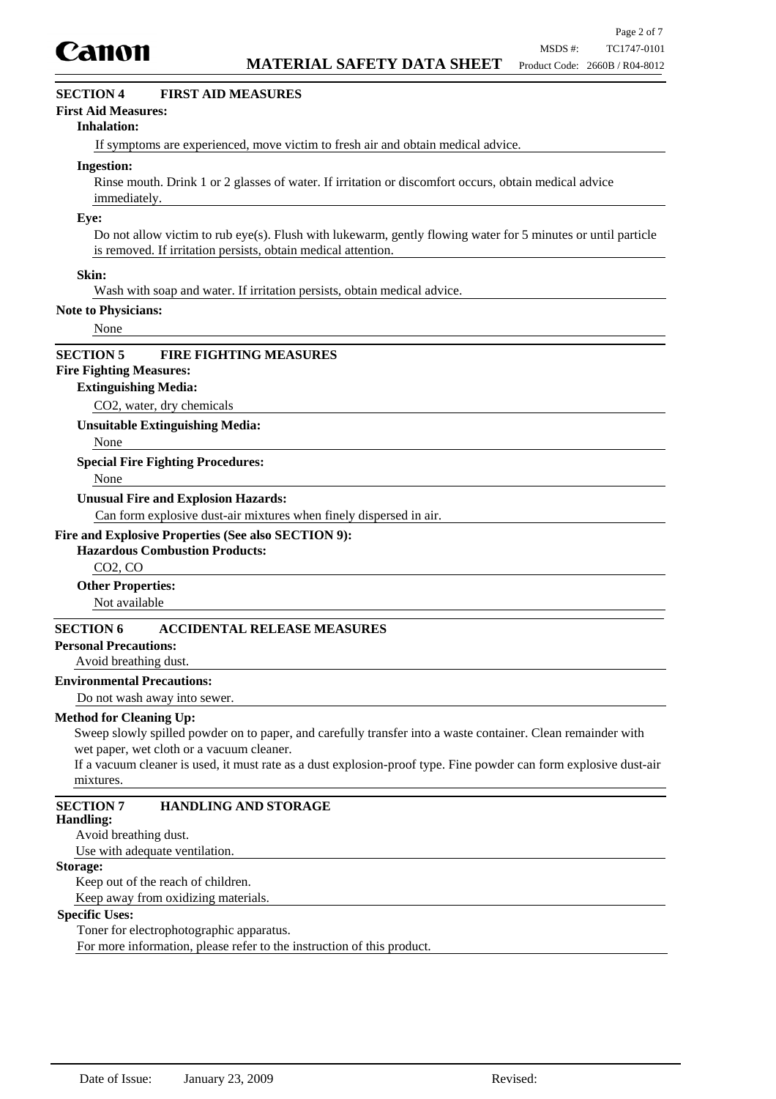

### **SECTION 4 FIRST AID MEASURES**

#### **First Aid Measures:**

#### **Inhalation:**

If symptoms are experienced, move victim to fresh air and obtain medical advice.

#### **Ingestion:**

Rinse mouth. Drink 1 or 2 glasses of water. If irritation or discomfort occurs, obtain medical advice immediately.

#### **Eye:**

Do not allow victim to rub eye(s). Flush with lukewarm, gently flowing water for 5 minutes or until particle is removed. If irritation persists, obtain medical attention.

#### **Skin:**

Wash with soap and water. If irritation persists, obtain medical advice.

#### **Note to Physicians:**

None

#### **SECTION 5 FIRE FIGHTING MEASURES**

### **Fire Fighting Measures:**

#### **Extinguishing Media:**

CO2, water, dry chemicals

**Unsuitable Extinguishing Media:**

None

#### **Special Fire Fighting Procedures:**

None

#### **Unusual Fire and Explosion Hazards:**

Can form explosive dust-air mixtures when finely dispersed in air.

#### **Fire and Explosive Properties (See also SECTION 9):**

### **Hazardous Combustion Products:**

CO2, CO

#### **Other Properties:**

Not available

### **SECTION 6 ACCIDENTAL RELEASE MEASURES**

#### **Personal Precautions:**

#### Avoid breathing dust.

#### **Environmental Precautions:**

Do not wash away into sewer.

#### **Method for Cleaning Up:**

Sweep slowly spilled powder on to paper, and carefully transfer into a waste container. Clean remainder with wet paper, wet cloth or a vacuum cleaner.

If a vacuum cleaner is used, it must rate as a dust explosion-proof type. Fine powder can form explosive dust-air mixtures.

### **SECTION 7 HANDLING AND STORAGE**

#### **Handling:**

Avoid breathing dust.

Use with adequate ventilation.

### **Storage:**

Keep out of the reach of children. Keep away from oxidizing materials.

#### **Specific Uses:**

Toner for electrophotographic apparatus.

For more information, please refer to the instruction of this product.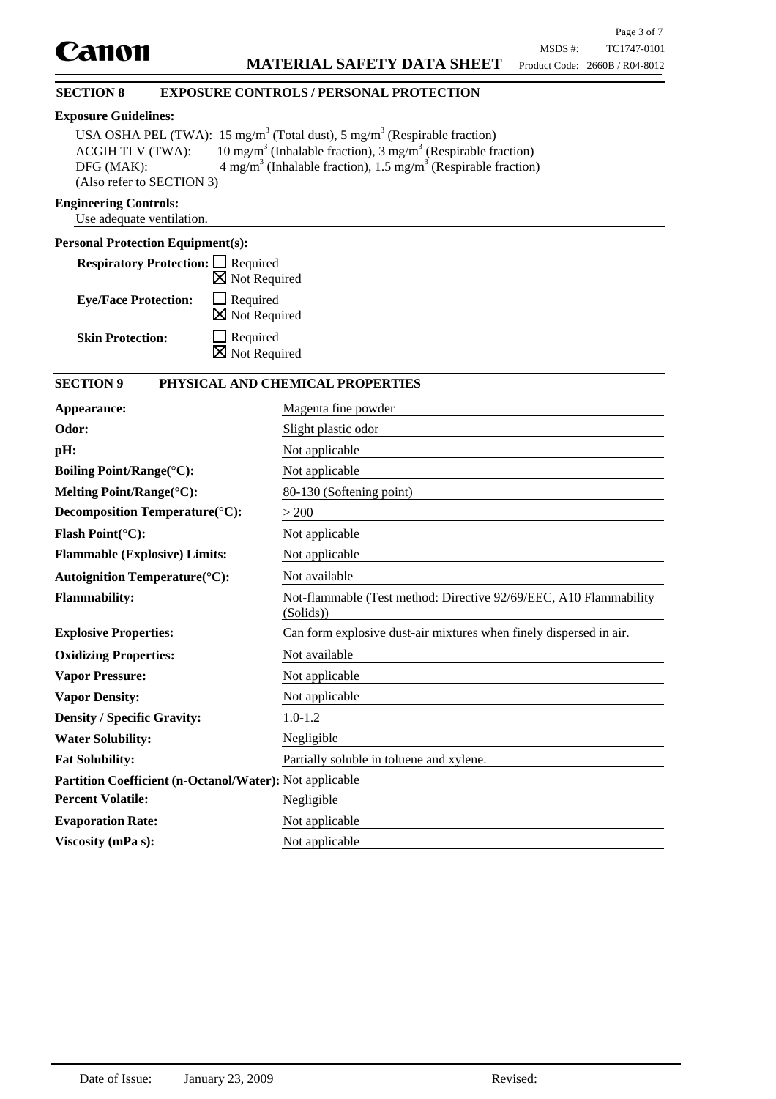### **SECTION 8 EXPOSURE CONTROLS / PERSONAL PROTECTION**

#### **Exposure Guidelines:**

|                           | USA OSHA PEL (TWA): 15 mg/m <sup>3</sup> (Total dust), 5 mg/m <sup>3</sup> (Respirable fraction) |
|---------------------------|--------------------------------------------------------------------------------------------------|
| <b>ACGIH TLV (TWA):</b>   | 10 mg/m <sup>3</sup> (Inhalable fraction), 3 mg/m <sup>3</sup> (Respirable fraction)             |
| DFG (MAK):                | $4 \text{ mg/m}^3$ (Inhalable fraction), 1.5 mg/m <sup>3</sup> (Respirable fraction)             |
| (Also refer to SECTION 3) |                                                                                                  |

### **Engineering Controls:**

Use adequate ventilation.

### **Personal Protection Equipment(s):**

| <b>Respiratory Protection:</b> $\Box$ Required |                                             |
|------------------------------------------------|---------------------------------------------|
|                                                | $\boxtimes$ Not Required                    |
| <b>Eye/Face Protection:</b>                    | $\Box$ Required<br>$\boxtimes$ Not Required |
| <b>Skin Protection:</b>                        | $\Box$ Required<br>$\boxtimes$ Not Required |

## **SECTION 9 PHYSICAL AND CHEMICAL PROPERTIES**

| Appearance:                                             | Magenta fine powder                                                            |
|---------------------------------------------------------|--------------------------------------------------------------------------------|
| Odor:                                                   | Slight plastic odor                                                            |
| pH:                                                     | Not applicable                                                                 |
| Boiling Point/Range(°C):                                | Not applicable                                                                 |
| Melting Point/Range(°C):                                | 80-130 (Softening point)                                                       |
| Decomposition Temperature(°C):                          | > 200                                                                          |
| Flash Point(°C):                                        | Not applicable                                                                 |
| <b>Flammable (Explosive) Limits:</b>                    | Not applicable                                                                 |
| <b>Autoignition Temperature</b> (°C):                   | Not available                                                                  |
| <b>Flammability:</b>                                    | Not-flammable (Test method: Directive 92/69/EEC, A10 Flammability<br>(Solids)) |
| <b>Explosive Properties:</b>                            | Can form explosive dust-air mixtures when finely dispersed in air.             |
| <b>Oxidizing Properties:</b>                            | Not available                                                                  |
| <b>Vapor Pressure:</b>                                  | Not applicable                                                                 |
| <b>Vapor Density:</b>                                   | Not applicable                                                                 |
| <b>Density / Specific Gravity:</b>                      | $1.0 - 1.2$                                                                    |
| <b>Water Solubility:</b>                                | Negligible                                                                     |
| <b>Fat Solubility:</b>                                  | Partially soluble in toluene and xylene.                                       |
| Partition Coefficient (n-Octanol/Water): Not applicable |                                                                                |
| <b>Percent Volatile:</b>                                | Negligible                                                                     |
| <b>Evaporation Rate:</b>                                | Not applicable                                                                 |
| Viscosity (mPa s):                                      | Not applicable                                                                 |
|                                                         |                                                                                |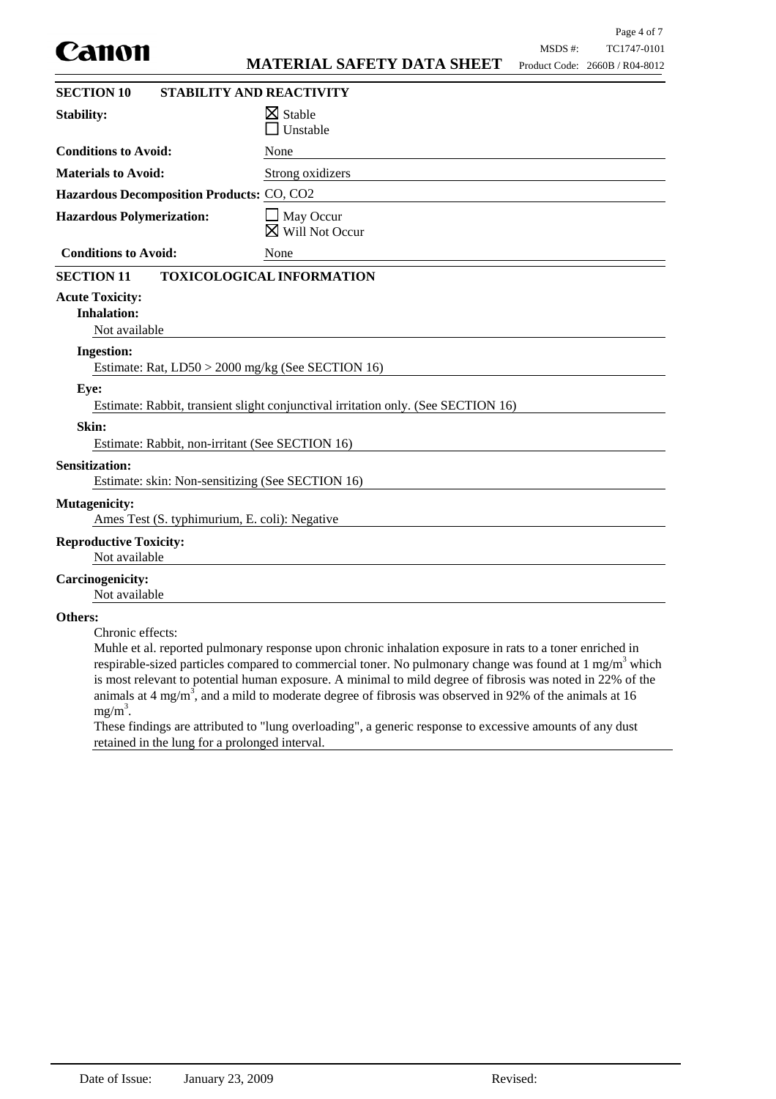|                                                                           |                                                                                                                                                                                                                                                                                                                                                                                                                                                                     |         | Page 4 of 7                    |
|---------------------------------------------------------------------------|---------------------------------------------------------------------------------------------------------------------------------------------------------------------------------------------------------------------------------------------------------------------------------------------------------------------------------------------------------------------------------------------------------------------------------------------------------------------|---------|--------------------------------|
| canon                                                                     | <b>MATERIAL SAFETY DATA SHEET</b>                                                                                                                                                                                                                                                                                                                                                                                                                                   | MSDS #: | TC1747-0101                    |
|                                                                           |                                                                                                                                                                                                                                                                                                                                                                                                                                                                     |         | Product Code: 2660B / R04-8012 |
| <b>SECTION 10</b>                                                         | STABILITY AND REACTIVITY                                                                                                                                                                                                                                                                                                                                                                                                                                            |         |                                |
| <b>Stability:</b>                                                         | $\boxtimes$ Stable<br>Unstable                                                                                                                                                                                                                                                                                                                                                                                                                                      |         |                                |
| <b>Conditions to Avoid:</b>                                               | None                                                                                                                                                                                                                                                                                                                                                                                                                                                                |         |                                |
| <b>Materials to Avoid:</b>                                                | Strong oxidizers                                                                                                                                                                                                                                                                                                                                                                                                                                                    |         |                                |
| Hazardous Decomposition Products: CO, CO2                                 |                                                                                                                                                                                                                                                                                                                                                                                                                                                                     |         |                                |
| <b>Hazardous Polymerization:</b>                                          | $\Box$ May Occur<br>Will Not Occur<br>⋈                                                                                                                                                                                                                                                                                                                                                                                                                             |         |                                |
| <b>Conditions to Avoid:</b>                                               | None                                                                                                                                                                                                                                                                                                                                                                                                                                                                |         |                                |
| <b>SECTION 11</b>                                                         | TOXICOLOGICAL INFORMATION                                                                                                                                                                                                                                                                                                                                                                                                                                           |         |                                |
| <b>Acute Toxicity:</b><br><b>Inhalation:</b><br>Not available             |                                                                                                                                                                                                                                                                                                                                                                                                                                                                     |         |                                |
| <b>Ingestion:</b>                                                         |                                                                                                                                                                                                                                                                                                                                                                                                                                                                     |         |                                |
| Estimate: Rat, LD50 > 2000 mg/kg (See SECTION 16)                         |                                                                                                                                                                                                                                                                                                                                                                                                                                                                     |         |                                |
| Eye:                                                                      | Estimate: Rabbit, transient slight conjunctival irritation only. (See SECTION 16)                                                                                                                                                                                                                                                                                                                                                                                   |         |                                |
| Skin:<br>Estimate: Rabbit, non-irritant (See SECTION 16)                  |                                                                                                                                                                                                                                                                                                                                                                                                                                                                     |         |                                |
| <b>Sensitization:</b><br>Estimate: skin: Non-sensitizing (See SECTION 16) |                                                                                                                                                                                                                                                                                                                                                                                                                                                                     |         |                                |
| <b>Mutagenicity:</b><br>Ames Test (S. typhimurium, E. coli): Negative     |                                                                                                                                                                                                                                                                                                                                                                                                                                                                     |         |                                |
| <b>Reproductive Toxicity:</b><br>Not available                            |                                                                                                                                                                                                                                                                                                                                                                                                                                                                     |         |                                |
| <b>Carcinogenicity:</b><br>Not available                                  |                                                                                                                                                                                                                                                                                                                                                                                                                                                                     |         |                                |
| Others:<br>Chronic effects:<br>$mg/m3$ .                                  | Muhle et al. reported pulmonary response upon chronic inhalation exposure in rats to a toner enriched in<br>respirable-sized particles compared to commercial toner. No pulmonary change was found at $1 \text{ mg/m}^3$ which<br>is most relevant to potential human exposure. A minimal to mild degree of fibrosis was noted in 22% of the<br>animals at 4 mg/m <sup>3</sup> , and a mild to moderate degree of fibrosis was observed in 92% of the animals at 16 |         |                                |

These findings are attributed to "lung overloading", a generic response to excessive amounts of any dust retained in the lung for a prolonged interval.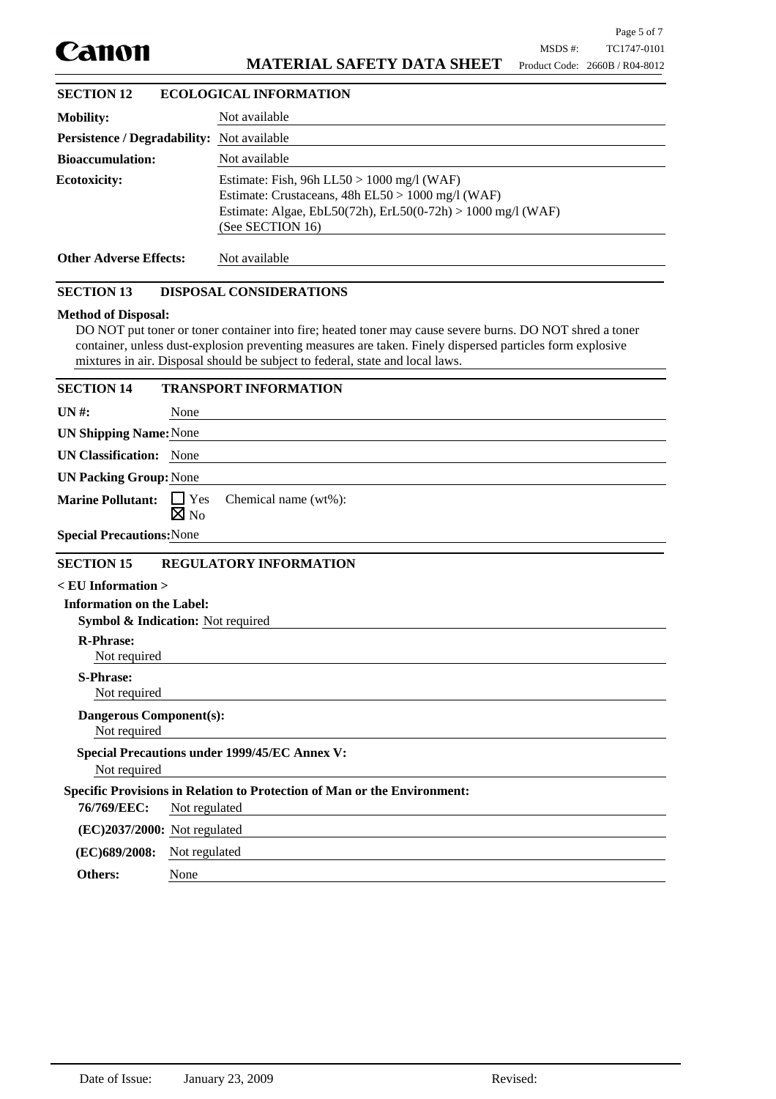

### **MATERIAL SAFETY DATA SHEET**

| <b>SECTION 12</b>                                 | <b>ECOLOGICAL INFORMATION</b>                                                                                                                                                          |
|---------------------------------------------------|----------------------------------------------------------------------------------------------------------------------------------------------------------------------------------------|
| <b>Mobility:</b>                                  | Not available                                                                                                                                                                          |
| <b>Persistence / Degradability:</b> Not available |                                                                                                                                                                                        |
| <b>Bioaccumulation:</b>                           | Not available                                                                                                                                                                          |
| <b>Ecotoxicity:</b>                               | Estimate: Fish, 96h LL50 > 1000 mg/l (WAF)<br>Estimate: Crustaceans, $48h$ EL50 > $1000$ mg/l (WAF)<br>Estimate: Algae, EbL50(72h), ErL50(0-72h) > 1000 mg/l (WAF)<br>(See SECTION 16) |
| <b>Other Adverse Effects:</b>                     | Not available                                                                                                                                                                          |

### **SECTION 13 DISPOSAL CONSIDERATIONS**

#### **Method of Disposal:**

DO NOT put toner or toner container into fire; heated toner may cause severe burns. DO NOT shred a toner container, unless dust-explosion preventing measures are taken. Finely dispersed particles form explosive mixtures in air. Disposal should be subject to federal, state and local laws.

| <b>SECTION 14</b>                              | <b>TRANSPORT INFORMATION</b>                                                    |
|------------------------------------------------|---------------------------------------------------------------------------------|
| $UN#$ :                                        | None                                                                            |
| <b>UN Shipping Name: None</b>                  |                                                                                 |
| <b>UN Classification:</b> None                 |                                                                                 |
| <b>UN Packing Group: None</b>                  |                                                                                 |
| <b>Marine Pollutant:</b>                       | $\Box$ Yes<br>Chemical name (wt%):<br>$\boxtimes$ No                            |
| <b>Special Precautions: None</b>               |                                                                                 |
| <b>SECTION 15</b>                              | <b>REGULATORY INFORMATION</b>                                                   |
| $\leq$ EU Information $>$                      |                                                                                 |
| <b>Information on the Label:</b>               | <b>Symbol &amp; Indication:</b> Not required                                    |
| <b>R-Phrase:</b><br>Not required               |                                                                                 |
| <b>S-Phrase:</b><br>Not required               |                                                                                 |
| <b>Dangerous Component(s):</b><br>Not required |                                                                                 |
| Not required                                   | <b>Special Precautions under 1999/45/EC Annex V:</b>                            |
|                                                | <b>Specific Provisions in Relation to Protection of Man or the Environment:</b> |
| 76/769/EEC:                                    | Not regulated                                                                   |
| $(EC)2037/2000$ : Not regulated                |                                                                                 |
| (EC)689/2008:                                  | Not regulated                                                                   |
| Others:                                        | None                                                                            |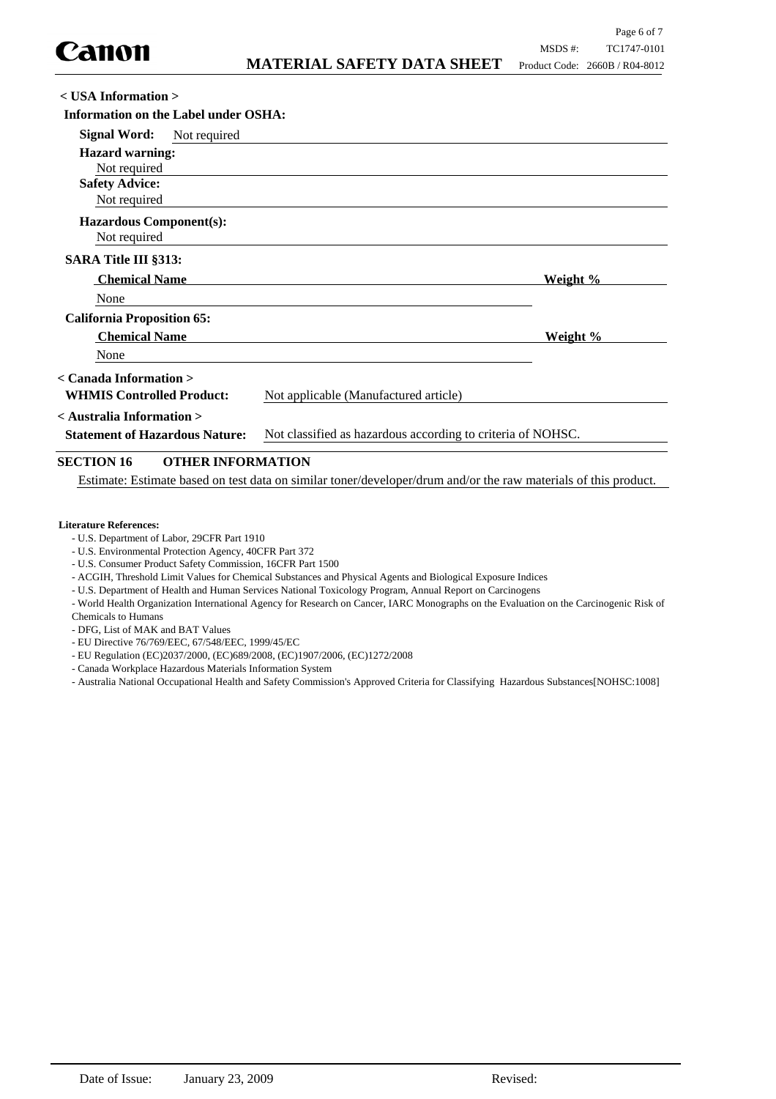| $<$ USA Information $>$                       |                                                             |          |  |
|-----------------------------------------------|-------------------------------------------------------------|----------|--|
| Information on the Label under OSHA:          |                                                             |          |  |
| <b>Signal Word:</b><br>Not required           |                                                             |          |  |
| <b>Hazard warning:</b>                        |                                                             |          |  |
| Not required                                  |                                                             |          |  |
| <b>Safety Advice:</b>                         |                                                             |          |  |
| Not required                                  |                                                             |          |  |
| <b>Hazardous Component(s):</b>                |                                                             |          |  |
| Not required                                  |                                                             |          |  |
| <b>SARA Title III §313:</b>                   |                                                             |          |  |
| <b>Chemical Name</b>                          |                                                             | Weight % |  |
| None                                          |                                                             |          |  |
| <b>California Proposition 65:</b>             |                                                             |          |  |
| <b>Chemical Name</b>                          |                                                             | Weight % |  |
| None                                          |                                                             |          |  |
| $\langle$ Canada Information $\rangle$        |                                                             |          |  |
| <b>WHMIS Controlled Product:</b>              | Not applicable (Manufactured article)                       |          |  |
| $\leq$ Australia Information $>$              |                                                             |          |  |
| <b>Statement of Hazardous Nature:</b>         | Not classified as hazardous according to criteria of NOHSC. |          |  |
| <b>SECTION 16</b><br><b>OTHER INFORMATION</b> |                                                             |          |  |

Estimate: Estimate based on test data on similar toner/developer/drum and/or the raw materials of this product.

#### **Literature References:**

- U.S. Department of Labor, 29CFR Part 1910
- U.S. Environmental Protection Agency, 40CFR Part 372
- U.S. Consumer Product Safety Commission, 16CFR Part 1500
- ACGIH, Threshold Limit Values for Chemical Substances and Physical Agents and Biological Exposure Indices
- U.S. Department of Health and Human Services National Toxicology Program, Annual Report on Carcinogens

- World Health Organization International Agency for Research on Cancer, IARC Monographs on the Evaluation on the Carcinogenic Risk of Chemicals to Humans

- DFG, List of MAK and BAT Values

- EU Directive 76/769/EEC, 67/548/EEC, 1999/45/EC
- EU Regulation (EC)2037/2000, (EC)689/2008, (EC)1907/2006, (EC)1272/2008
- Canada Workplace Hazardous Materials Information System
- Australia National Occupational Health and Safety Commission's Approved Criteria for Classifying Hazardous Substances[NOHSC:1008]